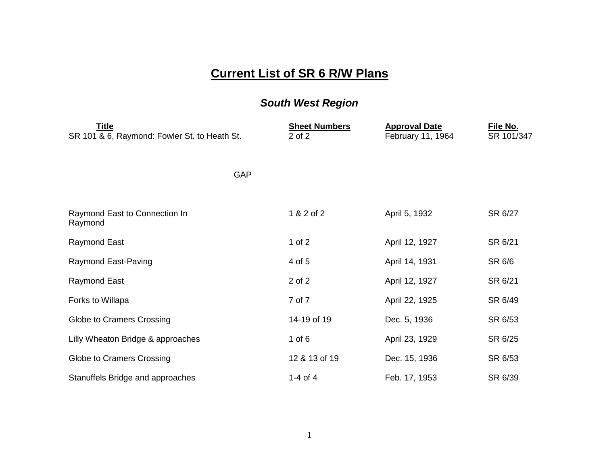## **Current List of SR 6 R/W Plans**

## *South West Region*

| <u>Title</u><br>SR 101 & 6, Raymond: Fowler St. to Heath St. | <b>Sheet Numbers</b><br>2 of 2 | <b>Approval Date</b><br>February 11, 1964 | File No.<br>SR 101/347 |
|--------------------------------------------------------------|--------------------------------|-------------------------------------------|------------------------|
| <b>GAP</b>                                                   |                                |                                           |                        |
| Raymond East to Connection In<br>Raymond                     | 1 & 2 of 2                     | April 5, 1932                             | SR 6/27                |
| Raymond East                                                 | 1 of $2$                       | April 12, 1927                            | SR 6/21                |
| Raymond East-Paving                                          | 4 of 5                         | April 14, 1931                            | SR 6/6                 |
| Raymond East                                                 | 2 of 2                         | April 12, 1927                            | SR 6/21                |
| Forks to Willapa                                             | 7 of 7                         | April 22, 1925                            | SR 6/49                |
| Globe to Cramers Crossing                                    | 14-19 of 19                    | Dec. 5, 1936                              | SR 6/53                |
| Lilly Wheaton Bridge & approaches                            | 1 of $6$                       | April 23, 1929                            | SR 6/25                |
| Globe to Cramers Crossing                                    | 12 & 13 of 19                  | Dec. 15, 1936                             | SR 6/53                |
| Stanuffels Bridge and approaches                             | 1-4 of 4                       | Feb. 17, 1953                             | SR 6/39                |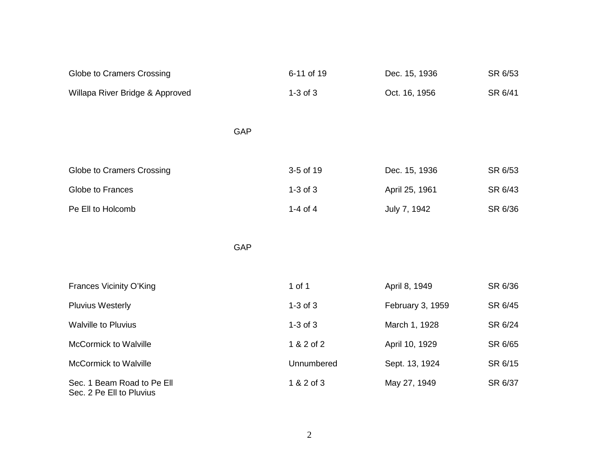| Globe to Cramers Crossing                              |            | 6-11 of 19   | Dec. 15, 1936    | SR 6/53 |
|--------------------------------------------------------|------------|--------------|------------------|---------|
| Willapa River Bridge & Approved                        |            | $1-3$ of $3$ | Oct. 16, 1956    | SR 6/41 |
|                                                        |            |              |                  |         |
|                                                        | GAP        |              |                  |         |
|                                                        |            |              |                  |         |
| Globe to Cramers Crossing                              |            | 3-5 of 19    | Dec. 15, 1936    | SR 6/53 |
| Globe to Frances                                       |            | $1-3$ of $3$ | April 25, 1961   | SR 6/43 |
| Pe Ell to Holcomb                                      |            | 1-4 of $4$   | July 7, 1942     | SR 6/36 |
|                                                        |            |              |                  |         |
|                                                        | <b>GAP</b> |              |                  |         |
|                                                        |            |              |                  |         |
| Frances Vicinity O'King                                |            | $1$ of $1$   | April 8, 1949    | SR 6/36 |
| <b>Pluvius Westerly</b>                                |            | $1-3$ of $3$ | February 3, 1959 | SR 6/45 |
| <b>Walville to Pluvius</b>                             |            | $1-3$ of $3$ | March 1, 1928    | SR 6/24 |
| <b>McCormick to Walville</b>                           |            | 1 & 2 of 2   | April 10, 1929   | SR 6/65 |
| <b>McCormick to Walville</b>                           |            | Unnumbered   | Sept. 13, 1924   | SR 6/15 |
| Sec. 1 Beam Road to Pe Ell<br>Sec. 2 Pe Ell to Pluvius |            | 1 & 2 of 3   | May 27, 1949     | SR 6/37 |